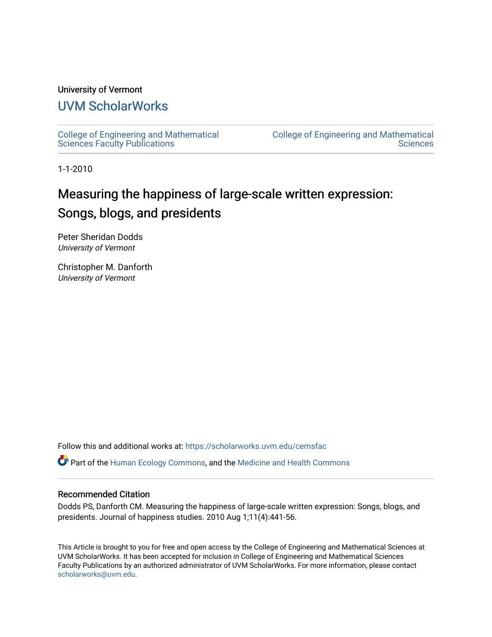### University of Vermont

## [UVM ScholarWorks](https://scholarworks.uvm.edu/)

[College of Engineering and Mathematical](https://scholarworks.uvm.edu/cemsfac)  [Sciences Faculty Publications](https://scholarworks.uvm.edu/cemsfac)

[College of Engineering and Mathematical](https://scholarworks.uvm.edu/cems)  **Sciences** 

1-1-2010

# Measuring the happiness of large-scale written expression: Songs, blogs, and presidents

Peter Sheridan Dodds University of Vermont

Christopher M. Danforth University of Vermont

Follow this and additional works at: [https://scholarworks.uvm.edu/cemsfac](https://scholarworks.uvm.edu/cemsfac?utm_source=scholarworks.uvm.edu%2Fcemsfac%2F43&utm_medium=PDF&utm_campaign=PDFCoverPages) 

Part of the [Human Ecology Commons,](http://network.bepress.com/hgg/discipline/1335?utm_source=scholarworks.uvm.edu%2Fcemsfac%2F43&utm_medium=PDF&utm_campaign=PDFCoverPages) and the [Medicine and Health Commons](http://network.bepress.com/hgg/discipline/422?utm_source=scholarworks.uvm.edu%2Fcemsfac%2F43&utm_medium=PDF&utm_campaign=PDFCoverPages) 

#### Recommended Citation

Dodds PS, Danforth CM. Measuring the happiness of large-scale written expression: Songs, blogs, and presidents. Journal of happiness studies. 2010 Aug 1;11(4):441-56.

This Article is brought to you for free and open access by the College of Engineering and Mathematical Sciences at UVM ScholarWorks. It has been accepted for inclusion in College of Engineering and Mathematical Sciences Faculty Publications by an authorized administrator of UVM ScholarWorks. For more information, please contact [scholarworks@uvm.edu](mailto:scholarworks@uvm.edu).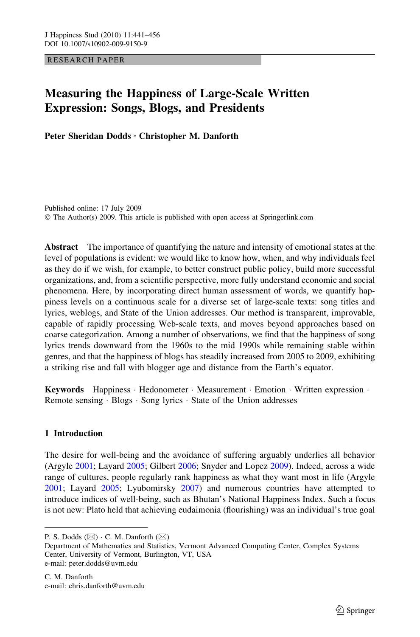RESEARCH PAPER

## Measuring the Happiness of Large-Scale Written Expression: Songs, Blogs, and Presidents

Peter Sheridan Dodds · Christopher M. Danforth

Published online: 17 July 2009 © The Author(s) 2009. This article is published with open access at Springerlink.com

Abstract The importance of quantifying the nature and intensity of emotional states at the level of populations is evident: we would like to know how, when, and why individuals feel as they do if we wish, for example, to better construct public policy, build more successful organizations, and, from a scientific perspective, more fully understand economic and social phenomena. Here, by incorporating direct human assessment of words, we quantify happiness levels on a continuous scale for a diverse set of large-scale texts: song titles and lyrics, weblogs, and State of the Union addresses. Our method is transparent, improvable, capable of rapidly processing Web-scale texts, and moves beyond approaches based on coarse categorization. Among a number of observations, we find that the happiness of song lyrics trends downward from the 1960s to the mid 1990s while remaining stable within genres, and that the happiness of blogs has steadily increased from 2005 to 2009, exhibiting a striking rise and fall with blogger age and distance from the Earth's equator.

Keywords Happiness · Hedonometer · Measurement · Emotion · Written expression · Remote sensing - Blogs - Song lyrics - State of the Union addresses

#### 1 Introduction

The desire for well-being and the avoidance of suffering arguably underlies all behavior (Argyle [2001;](#page-14-0) Layard [2005;](#page-15-0) Gilbert [2006](#page-15-0); Snyder and Lopez [2009\)](#page-16-0). Indeed, across a wide range of cultures, people regularly rank happiness as what they want most in life (Argyle [2001;](#page-14-0) Layard [2005;](#page-15-0) Lyubomirsky [2007](#page-15-0)) and numerous countries have attempted to introduce indices of well-being, such as Bhutan's National Happiness Index. Such a focus is not new: Plato held that achieving eudaimonia (flourishing) was an individual's true goal

P. S. Dodds ( $\boxtimes$ ) · C. M. Danforth ( $\boxtimes$ )

Department of Mathematics and Statistics, Vermont Advanced Computing Center, Complex Systems Center, University of Vermont, Burlington, VT, USA e-mail: peter.dodds@uvm.edu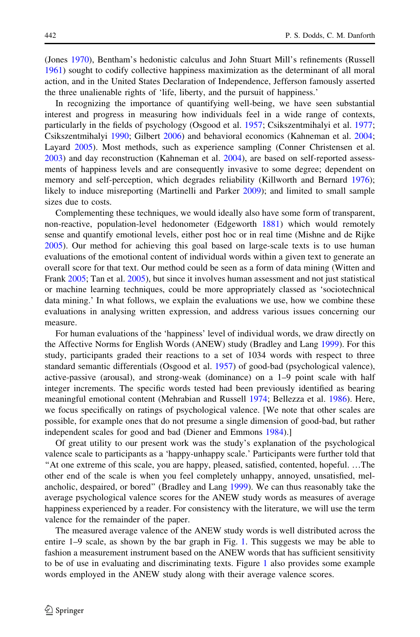(Jones [1970](#page-15-0)), Bentham's hedonistic calculus and John Stuart Mill's refinements (Russell [1961\)](#page-16-0) sought to codify collective happiness maximization as the determinant of all moral action, and in the United States Declaration of Independence, Jefferson famously asserted the three unalienable rights of 'life, liberty, and the pursuit of happiness.'

In recognizing the importance of quantifying well-being, we have seen substantial interest and progress in measuring how individuals feel in a wide range of contexts, particularly in the fields of psychology (Osgood et al. [1957;](#page-15-0) Csikszentmihalyi et al. [1977;](#page-15-0) Csikszentmihalyi [1990;](#page-15-0) Gilbert [2006](#page-15-0)) and behavioral economics (Kahneman et al. [2004;](#page-15-0) Layard [2005](#page-15-0)). Most methods, such as experience sampling (Conner Christensen et al. [2003\)](#page-15-0) and day reconstruction (Kahneman et al. [2004](#page-15-0)), are based on self-reported assessments of happiness levels and are consequently invasive to some degree; dependent on memory and self-perception, which degrades reliability (Killworth and Bernard [1976\)](#page-15-0); likely to induce misreporting (Martinelli and Parker [2009](#page-15-0)); and limited to small sample sizes due to costs.

Complementing these techniques, we would ideally also have some form of transparent, non-reactive, population-level hedonometer (Edgeworth [1881](#page-15-0)) which would remotely sense and quantify emotional levels, either post hoc or in real time (Mishne and de Rijke [2005\)](#page-15-0). Our method for achieving this goal based on large-scale texts is to use human evaluations of the emotional content of individual words within a given text to generate an overall score for that text. Our method could be seen as a form of data mining (Witten and Frank [2005;](#page-16-0) Tan et al. [2005](#page-16-0)), but since it involves human assessment and not just statistical or machine learning techniques, could be more appropriately classed as 'sociotechnical data mining.' In what follows, we explain the evaluations we use, how we combine these evaluations in analysing written expression, and address various issues concerning our measure.

For human evaluations of the 'happiness' level of individual words, we draw directly on the Affective Norms for English Words (ANEW) study (Bradley and Lang [1999\)](#page-15-0). For this study, participants graded their reactions to a set of 1034 words with respect to three standard semantic differentials (Osgood et al. [1957\)](#page-15-0) of good-bad (psychological valence), active-passive (arousal), and strong-weak (dominance) on a 1–9 point scale with half integer increments. The specific words tested had been previously identified as bearing meaningful emotional content (Mehrabian and Russell [1974;](#page-15-0) Bellezza et al. [1986](#page-14-0)). Here, we focus specifically on ratings of psychological valence. [We note that other scales are possible, for example ones that do not presume a single dimension of good-bad, but rather independent scales for good and bad (Diener and Emmons [1984\)](#page-15-0).]

Of great utility to our present work was the study's explanation of the psychological valence scale to participants as a 'happy-unhappy scale.' Participants were further told that ''At one extreme of this scale, you are happy, pleased, satisfied, contented, hopeful. …The other end of the scale is when you feel completely unhappy, annoyed, unsatisfied, melancholic, despaired, or bored'' (Bradley and Lang [1999\)](#page-15-0). We can thus reasonably take the average psychological valence scores for the ANEW study words as measures of average happiness experienced by a reader. For consistency with the literature, we will use the term valence for the remainder of the paper.

The measured average valence of the ANEW study words is well distributed across the entire 1–9 scale, as shown by the bar graph in Fig. [1.](#page-3-0) This suggests we may be able to fashion a measurement instrument based on the ANEW words that has sufficient sensitivity to be of use in evaluating and discriminating texts. Figure [1](#page-3-0) also provides some example words employed in the ANEW study along with their average valence scores.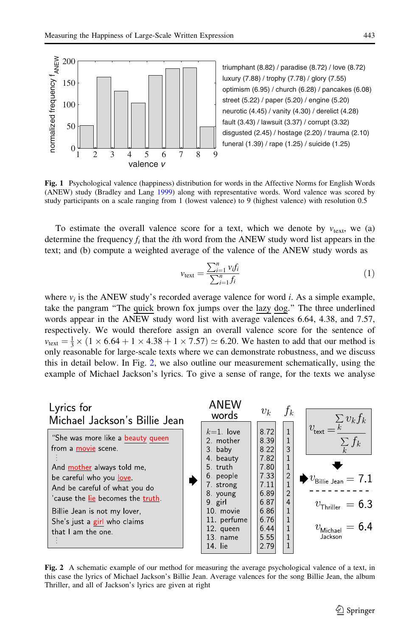<span id="page-3-0"></span>

funeral (1.39) / rape (1.25) / suicide (1.25) disgusted (2.45) / hostage (2.20) / trauma (2.10) fault (3.43) / lawsuit (3.37) / corrupt (3.32) neurotic (4.45) / vanity (4.30) / derelict (4.28) street (5.22) / paper (5.20) / engine (5.20) optimism (6.95) / church (6.28) / pancakes (6.08) luxury (7.88) / trophy (7.78) / glory (7.55) triumphant (8.82) / paradise (8.72) / love (8.72)

Fig. 1 Psychological valence (happiness) distribution for words in the Affective Norms for English Words (ANEW) study (Bradley and Lang [1999](#page-15-0)) along with representative words. Word valence was scored by study participants on a scale ranging from 1 (lowest valence) to 9 (highest valence) with resolution 0.5

To estimate the overall valence score for a text, which we denote by  $v_{\text{text}}$ , we (a) determine the frequency  $f_i$  that the *i*th word from the ANEW study word list appears in the text; and (b) compute a weighted average of the valence of the ANEW study words as

$$
\nu_{\text{text}} = \frac{\sum_{i=1}^{n} v_i f_i}{\sum_{i=1}^{n} f_i} \tag{1}
$$

where  $v_i$  is the ANEW study's recorded average valence for word *i*. As a simple example, take the pangram ''The quick brown fox jumps over the lazy dog.'' The three underlined words appear in the ANEW study word list with average valences 6.64, 4.38, and 7.57, respectively. We would therefore assign an overall valence score for the sentence of  $v_{\text{text}} = \frac{1}{3} \times (1 \times 6.64 + 1 \times 4.38 + 1 \times 7.57) \approx 6.20$ . We hasten to add that our method is only reasonable for large-scale texts where we can demonstrate robustness, and we discuss this in detail below. In Fig. 2, we also outline our measurement schematically, using the example of Michael Jackson's lyrics. To give a sense of range, for the texts we analyse



Fig. 2 A schematic example of our method for measuring the average psychological valence of a text, in this case the lyrics of Michael Jackson's Billie Jean. Average valences for the song Billie Jean, the album Thriller, and all of Jackson's lyrics are given at right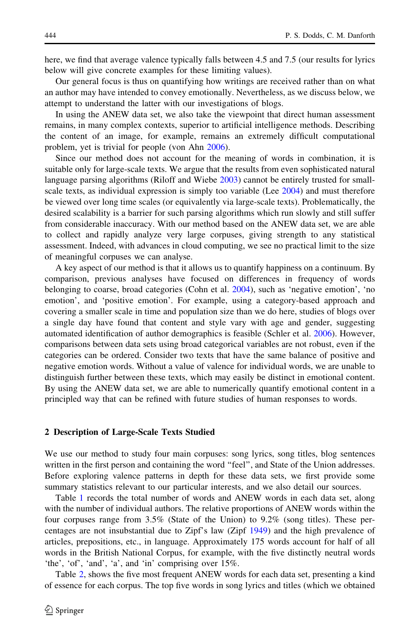here, we find that average valence typically falls between 4.5 and 7.5 (our results for lyrics below will give concrete examples for these limiting values).

Our general focus is thus on quantifying how writings are received rather than on what an author may have intended to convey emotionally. Nevertheless, as we discuss below, we attempt to understand the latter with our investigations of blogs.

In using the ANEW data set, we also take the viewpoint that direct human assessment remains, in many complex contexts, superior to artificial intelligence methods. Describing the content of an image, for example, remains an extremely difficult computational problem, yet is trivial for people (von Ahn [2006\)](#page-16-0).

Since our method does not account for the meaning of words in combination, it is suitable only for large-scale texts. We argue that the results from even sophisticated natural language parsing algorithms (Riloff and Wiebe [2003](#page-15-0)) cannot be entirely trusted for smallscale texts, as individual expression is simply too variable (Lee [2004](#page-15-0)) and must therefore be viewed over long time scales (or equivalently via large-scale texts). Problematically, the desired scalability is a barrier for such parsing algorithms which run slowly and still suffer from considerable inaccuracy. With our method based on the ANEW data set, we are able to collect and rapidly analyze very large corpuses, giving strength to any statistical assessment. Indeed, with advances in cloud computing, we see no practical limit to the size of meaningful corpuses we can analyse.

A key aspect of our method is that it allows us to quantify happiness on a continuum. By comparison, previous analyses have focused on differences in frequency of words belonging to coarse, broad categories (Cohn et al. [2004\)](#page-15-0), such as 'negative emotion', 'no emotion', and 'positive emotion'. For example, using a category-based approach and covering a smaller scale in time and population size than we do here, studies of blogs over a single day have found that content and style vary with age and gender, suggesting automated identification of author demographics is feasible (Schler et al. [2006](#page-16-0)). However, comparisons between data sets using broad categorical variables are not robust, even if the categories can be ordered. Consider two texts that have the same balance of positive and negative emotion words. Without a value of valence for individual words, we are unable to distinguish further between these texts, which may easily be distinct in emotional content. By using the ANEW data set, we are able to numerically quantify emotional content in a principled way that can be refined with future studies of human responses to words.

#### 2 Description of Large-Scale Texts Studied

We use our method to study four main corpuses: song lyrics, song titles, blog sentences written in the first person and containing the word ''feel'', and State of the Union addresses. Before exploring valence patterns in depth for these data sets, we first provide some summary statistics relevant to our particular interests, and we also detail our sources.

Table [1](#page-5-0) records the total number of words and ANEW words in each data set, along with the number of individual authors. The relative proportions of ANEW words within the four corpuses range from 3.5% (State of the Union) to 9.2% (song titles). These percentages are not insubstantial due to Zipf's law (Zipf [1949](#page-16-0)) and the high prevalence of articles, prepositions, etc., in language. Approximately 175 words account for half of all words in the British National Corpus, for example, with the five distinctly neutral words 'the', 'of', 'and', 'a', and 'in' comprising over 15%.

Table [2,](#page-5-0) shows the five most frequent ANEW words for each data set, presenting a kind of essence for each corpus. The top five words in song lyrics and titles (which we obtained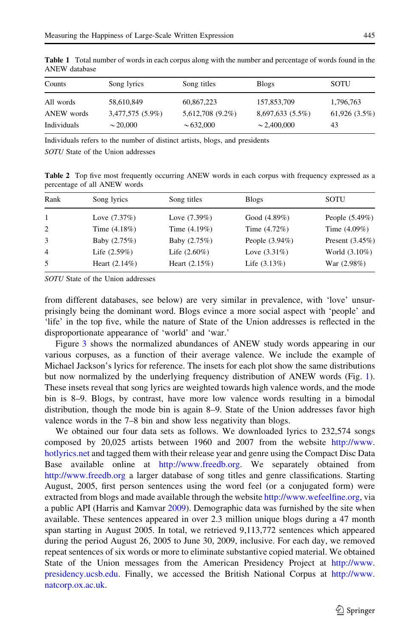| Counts      | Song lyrics      | Song titles      | <b>Blogs</b>     | SOTU         |
|-------------|------------------|------------------|------------------|--------------|
| All words   | 58,610,849       | 60,867,223       | 157,853,709      | 1,796,763    |
| ANEW words  | 3,477,575 (5.9%) | 5,612,708 (9.2%) | 8,697,633(5.5%)  | 61,926(3.5%) |
| Individuals | $\sim$ 20,000    | $\sim 632,000$   | $\sim$ 2,400,000 | 43           |

<span id="page-5-0"></span>Table 1 Total number of words in each corpus along with the number and percentage of words found in the ANEW database

Individuals refers to the number of distinct artists, blogs, and presidents

SOTU State of the Union addresses

Table 2 Top five most frequently occurring ANEW words in each corpus with frequency expressed as a percentage of all ANEW words

| Rank           | Song lyrics      | Song titles     | <b>Blogs</b>      | SOTU               |
|----------------|------------------|-----------------|-------------------|--------------------|
| 1              | Love $(7.37%)$   | Love $(7.39\%)$ | Good (4.89%)      | People $(5.49\%)$  |
| 2              | Time $(4.18\%)$  | Time $(4.19%)$  | Time $(4.72\%)$   | Time $(4.09\%)$    |
| 3              | Baby (2.75%)     | Baby (2.75%)    | People $(3.94\%)$ | Present $(3.45\%)$ |
| $\overline{4}$ | Life $(2.59\%)$  | Life $(2.60\%)$ | Love $(3.31\%)$   | World (3.10%)      |
| 5              | Heart $(2.14\%)$ | Heart $(2.15%)$ | Life $(3.13%)$    | War $(2.98\%)$     |
|                |                  |                 |                   |                    |

SOTU State of the Union addresses

from different databases, see below) are very similar in prevalence, with 'love' unsurprisingly being the dominant word. Blogs evince a more social aspect with 'people' and 'life' in the top five, while the nature of State of the Union addresses is reflected in the disproportionate appearance of 'world' and 'war.'

Figure [3](#page-6-0) shows the normalized abundances of ANEW study words appearing in our various corpuses, as a function of their average valence. We include the example of Michael Jackson's lyrics for reference. The insets for each plot show the same distributions but now normalized by the underlying frequency distribution of ANEW words (Fig. [1](#page-3-0)). These insets reveal that song lyrics are weighted towards high valence words, and the mode bin is 8–9. Blogs, by contrast, have more low valence words resulting in a bimodal distribution, though the mode bin is again 8–9. State of the Union addresses favor high valence words in the 7–8 bin and show less negativity than blogs.

We obtained our four data sets as follows. We downloaded lyrics to 232,574 songs composed by 20,025 artists between 1960 and 2007 from the website [http://www.](http://www.hotlyrics.net) [hotlyrics.net](http://www.hotlyrics.net) and tagged them with their release year and genre using the Compact Disc Data Base available online at <http://www.freedb.org>. We separately obtained from <http://www.freedb.org> a larger database of song titles and genre classifications. Starting August, 2005, first person sentences using the word feel (or a conjugated form) were extracted from blogs and made available through the website [http://www.wefeelfine.org,](http://www.wefeelfine.org) via a public API (Harris and Kamvar [2009\)](#page-15-0). Demographic data was furnished by the site when available. These sentences appeared in over 2.3 million unique blogs during a 47 month span starting in August 2005. In total, we retrieved 9,113,772 sentences which appeared during the period August 26, 2005 to June 30, 2009, inclusive. For each day, we removed repeat sentences of six words or more to eliminate substantive copied material. We obtained State of the Union messages from the American Presidency Project at [http://www.](http://www.presidency.ucsb.edu) [presidency.ucsb.edu.](http://www.presidency.ucsb.edu) Finally, we accessed the British National Corpus at [http://www.](http://www.natcorp.ox.ac.uk) [natcorp.ox.ac.uk.](http://www.natcorp.ox.ac.uk)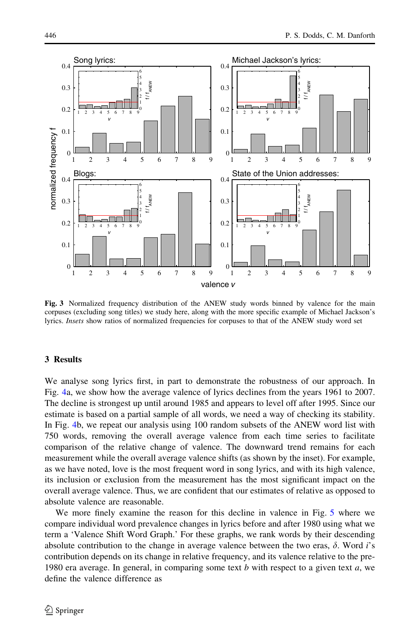<span id="page-6-0"></span>

Fig. 3 Normalized frequency distribution of the ANEW study words binned by valence for the main corpuses (excluding song titles) we study here, along with the more specific example of Michael Jackson's lyrics. *Insets* show ratios of normalized frequencies for corpuses to that of the ANEW study word set

#### 3 Results

We analyse song lyrics first, in part to demonstrate the robustness of our approach. In Fig. [4a](#page-7-0), we show how the average valence of lyrics declines from the years 1961 to 2007. The decline is strongest up until around 1985 and appears to level off after 1995. Since our estimate is based on a partial sample of all words, we need a way of checking its stability. In Fig. [4](#page-7-0)b, we repeat our analysis using 100 random subsets of the ANEW word list with 750 words, removing the overall average valence from each time series to facilitate comparison of the relative change of valence. The downward trend remains for each measurement while the overall average valence shifts (as shown by the inset). For example, as we have noted, love is the most frequent word in song lyrics, and with its high valence, its inclusion or exclusion from the measurement has the most significant impact on the overall average valence. Thus, we are confident that our estimates of relative as opposed to absolute valence are reasonable.

We more finely examine the reason for this decline in valence in Fig. [5](#page-8-0) where we compare individual word prevalence changes in lyrics before and after 1980 using what we term a 'Valence Shift Word Graph.' For these graphs, we rank words by their descending absolute contribution to the change in average valence between the two eras,  $\delta$ . Word i's contribution depends on its change in relative frequency, and its valence relative to the pre-1980 era average. In general, in comparing some text b with respect to a given text  $a$ , we define the valence difference as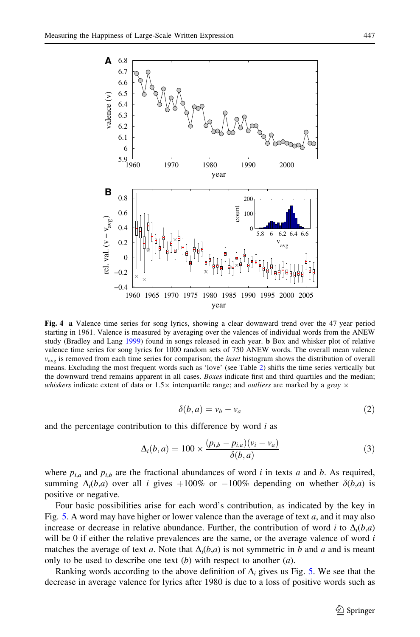<span id="page-7-0"></span>

Fig. 4 a Valence time series for song lyrics, showing a clear downward trend over the 47 year period starting in 1961. Valence is measured by averaging over the valences of individual words from the ANEW study (Bradley and Lang [1999](#page-15-0)) found in songs released in each year. b Box and whisker plot of relative valence time series for song lyrics for 1000 random sets of 750 ANEW words. The overall mean valence  $v_{\text{avg}}$  is removed from each time series for comparison; the *inset* histogram shows the distribution of overall means. Excluding the most frequent words such as 'love' (see Table [2](#page-5-0)) shifts the time series vertically but the downward trend remains apparent in all cases. Boxes indicate first and third quartiles and the median; *whiskers* indicate extent of data or  $1.5\times$  interquartile range; and *outliers* are marked by a gray  $\times$ 

$$
\delta(b, a) = v_b - v_a \tag{2}
$$

and the percentage contribution to this difference by word i as

$$
\Delta_i(b,a) = 100 \times \frac{(p_{i,b} - p_{i,a})(v_i - v_a)}{\delta(b,a)}
$$
\n(3)

where  $p_{i,a}$  and  $p_{i,b}$  are the fractional abundances of word i in texts a and b. As required, summing  $\Delta_i(b,a)$  over all i gives  $+100\%$  or  $-100\%$  depending on whether  $\delta(b,a)$  is positive or negative.

Four basic possibilities arise for each word's contribution, as indicated by the key in Fig. [5.](#page-8-0) A word may have higher or lower valence than the average of text  $a$ , and it may also increase or decrease in relative abundance. Further, the contribution of word i to  $\Delta_i(b,a)$ will be 0 if either the relative prevalences are the same, or the average valence of word  $i$ matches the average of text a. Note that  $\Delta_i(b,a)$  is not symmetric in b and a and is meant only to be used to describe one text  $(b)$  with respect to another  $(a)$ .

Ranking words according to the above definition of  $\Delta_i$  gives us Fig. [5.](#page-8-0) We see that the decrease in average valence for lyrics after 1980 is due to a loss of positive words such as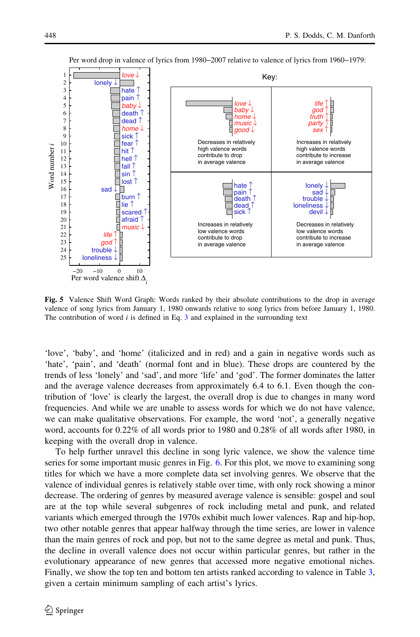<span id="page-8-0"></span>

Per word drop in valence of lyrics from 1980−2007 relative to valence of lyrics from 1960−1979:

Fig. 5 Valence Shift Word Graph: Words ranked by their absolute contributions to the drop in average valence of song lyrics from January 1, 1980 onwards relative to song lyrics from before January 1, 1980. The contribution of word  $i$  is defined in Eq. [3](#page-7-0) and explained in the surrounding text

'love', 'baby', and 'home' (italicized and in red) and a gain in negative words such as 'hate', 'pain', and 'death' (normal font and in blue). These drops are countered by the trends of less 'lonely' and 'sad', and more 'life' and 'god'. The former dominates the latter and the average valence decreases from approximately 6.4 to 6.1. Even though the contribution of 'love' is clearly the largest, the overall drop is due to changes in many word frequencies. And while we are unable to assess words for which we do not have valence, we can make qualitative observations. For example, the word 'not', a generally negative word, accounts for 0.22% of all words prior to 1980 and 0.28% of all words after 1980, in keeping with the overall drop in valence.

To help further unravel this decline in song lyric valence, we show the valence time series for some important music genres in Fig. [6](#page-9-0). For this plot, we move to examining song titles for which we have a more complete data set involving genres. We observe that the valence of individual genres is relatively stable over time, with only rock showing a minor decrease. The ordering of genres by measured average valence is sensible: gospel and soul are at the top while several subgenres of rock including metal and punk, and related variants which emerged through the 1970s exhibit much lower valences. Rap and hip-hop, two other notable genres that appear halfway through the time series, are lower in valence than the main genres of rock and pop, but not to the same degree as metal and punk. Thus, the decline in overall valence does not occur within particular genres, but rather in the evolutionary appearance of new genres that accessed more negative emotional niches. Finally, we show the top ten and bottom ten artists ranked according to valence in Table [3](#page-9-0), given a certain minimum sampling of each artist's lyrics.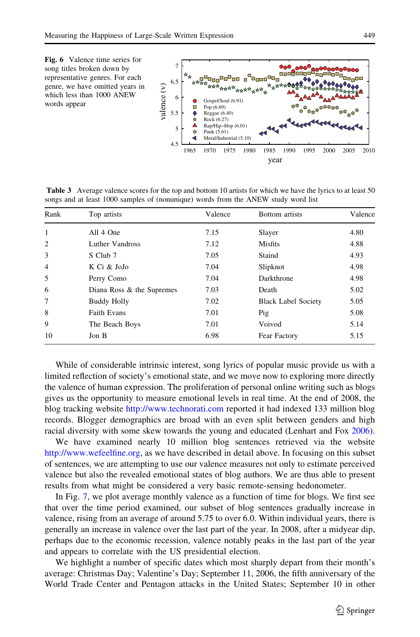<span id="page-9-0"></span>

Table 3 Average valence scores for the top and bottom 10 artists for which we have the lyrics to at least 50 songs and at least 1000 samples of (nonunique) words from the ANEW study word list

| Rank            | Top artists               | Valence | Bottom artists             | Valence |
|-----------------|---------------------------|---------|----------------------------|---------|
| 1               | All 4 One                 | 7.15    | Slayer                     | 4.80    |
| 2               | Luther Vandross           | 7.12    | <b>Misfits</b>             | 4.88    |
| 3               | S Club 7                  | 7.05    | Staind                     | 4.93    |
| $\overline{4}$  | $K$ Ci $\&$ JoJo          | 7.04    | Slipknot                   | 4.98    |
| 5               | Perry Como                | 7.04    | Darkthrone                 | 4.98    |
| 6               | Diana Ross & the Supremes | 7.03    | Death                      | 5.02    |
| $7\phantom{.0}$ | <b>Buddy Holly</b>        | 7.02    | <b>Black Label Society</b> | 5.05    |
| 8               | <b>Faith Evans</b>        | 7.01    | Pig                        | 5.08    |
| 9               | The Beach Boys            | 7.01    | Voivod                     | 5.14    |
| 10              | Jon B                     | 6.98    | Fear Factory               | 5.15    |

While of considerable intrinsic interest, song lyrics of popular music provide us with a limited reflection of society's emotional state, and we move now to exploring more directly the valence of human expression. The proliferation of personal online writing such as blogs gives us the opportunity to measure emotional levels in real time. At the end of 2008, the blog tracking website <http://www.technorati.com> reported it had indexed 133 million blog records. Blogger demographics are broad with an even split between genders and high racial diversity with some skew towards the young and educated (Lenhart and Fox [2006](#page-15-0)).

We have examined nearly 10 million blog sentences retrieved via the website [http://www.wefeelfine.org,](http://www.wefeelfine.org) as we have described in detail above. In focusing on this subset of sentences, we are attempting to use our valence measures not only to estimate perceived valence but also the revealed emotional states of blog authors. We are thus able to present results from what might be considered a very basic remote-sensing hedonometer.

In Fig. [7,](#page-10-0) we plot average monthly valence as a function of time for blogs. We first see that over the time period examined, our subset of blog sentences gradually increase in valence, rising from an average of around 5.75 to over 6.0. Within individual years, there is generally an increase in valence over the last part of the year. In 2008, after a midyear dip, perhaps due to the economic recession, valence notably peaks in the last part of the year and appears to correlate with the US presidential election.

We highlight a number of specific dates which most sharply depart from their month's average: Christmas Day; Valentine's Day; September 11, 2006, the fifth anniversary of the World Trade Center and Pentagon attacks in the United States; September 10 in other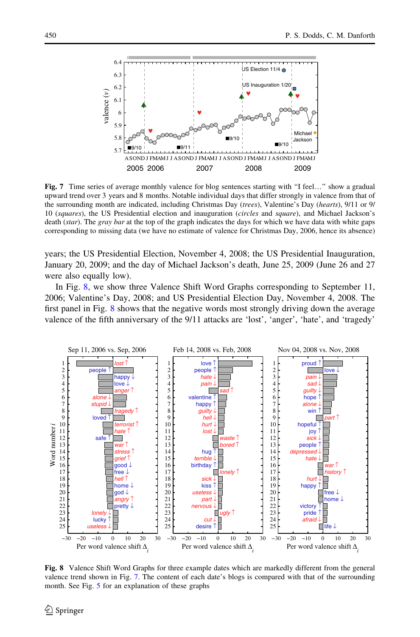<span id="page-10-0"></span>

Fig. 7 Time series of average monthly valence for blog sentences starting with "I feel..." show a gradual upward trend over 3 years and 8 months. Notable individual days that differ strongly in valence from that of the surrounding month are indicated, including Christmas Day (trees), Valentine's Day (hearts), 9/11 or 9/ 10 (squares), the US Presidential election and inauguration (circles and square), and Michael Jackson's death (star). The gray bar at the top of the graph indicates the days for which we have data with white gaps corresponding to missing data (we have no estimate of valence for Christmas Day, 2006, hence its absence)

years; the US Presidential Election, November 4, 2008; the US Presidential Inauguration, January 20, 2009; and the day of Michael Jackson's death, June 25, 2009 (June 26 and 27 were also equally low).

In Fig. 8, we show three Valence Shift Word Graphs corresponding to September 11, 2006; Valentine's Day, 2008; and US Presidential Election Day, November 4, 2008. The first panel in Fig. 8 shows that the negative words most strongly driving down the average valence of the fifth anniversary of the 9/11 attacks are 'lost', 'anger', 'hate', and 'tragedy'



Fig. 8 Valence Shift Word Graphs for three example dates which are markedly different from the general valence trend shown in Fig. 7. The content of each date's blogs is compared with that of the surrounding month. See Fig. [5](#page-8-0) for an explanation of these graphs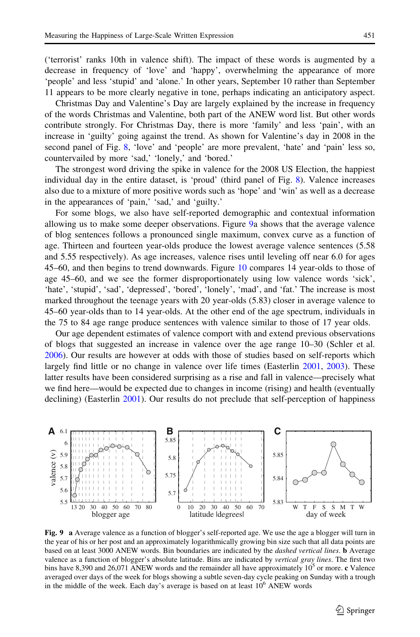<span id="page-11-0"></span>('terrorist' ranks 10th in valence shift). The impact of these words is augmented by a decrease in frequency of 'love' and 'happy', overwhelming the appearance of more 'people' and less 'stupid' and 'alone.' In other years, September 10 rather than September 11 appears to be more clearly negative in tone, perhaps indicating an anticipatory aspect.

Christmas Day and Valentine's Day are largely explained by the increase in frequency of the words Christmas and Valentine, both part of the ANEW word list. But other words contribute strongly. For Christmas Day, there is more 'family' and less 'pain', with an increase in 'guilty' going against the trend. As shown for Valentine's day in 2008 in the second panel of Fig. [8](#page-10-0), 'love' and 'people' are more prevalent, 'hate' and 'pain' less so, countervailed by more 'sad,' 'lonely,' and 'bored.'

The strongest word driving the spike in valence for the 2008 US Election, the happiest individual day in the entire dataset, is 'proud' (third panel of Fig. [8](#page-10-0)). Valence increases also due to a mixture of more positive words such as 'hope' and 'win' as well as a decrease in the appearances of 'pain,' 'sad,' and 'guilty.'

For some blogs, we also have self-reported demographic and contextual information allowing us to make some deeper observations. Figure 9a shows that the average valence of blog sentences follows a pronounced single maximum, convex curve as a function of age. Thirteen and fourteen year-olds produce the lowest average valence sentences (5.58 and 5.55 respectively). As age increases, valence rises until leveling off near 6.0 for ages 45–60, and then begins to trend downwards. Figure [10](#page-12-0) compares 14 year-olds to those of age 45–60, and we see the former disproportionately using low valence words 'sick', 'hate', 'stupid', 'sad', 'depressed', 'bored', 'lonely', 'mad', and 'fat.' The increase is most marked throughout the teenage years with 20 year-olds (5.83) closer in average valence to 45–60 year-olds than to 14 year-olds. At the other end of the age spectrum, individuals in the 75 to 84 age range produce sentences with valence similar to those of 17 year olds.

Our age dependent estimates of valence comport with and extend previous observations of blogs that suggested an increase in valence over the age range 10–30 (Schler et al. [2006\)](#page-16-0). Our results are however at odds with those of studies based on self-reports which largely find little or no change in valence over life times (Easterlin [2001,](#page-15-0) [2003\)](#page-15-0). These latter results have been considered surprising as a rise and fall in valence—precisely what we find here—would be expected due to changes in income (rising) and health (eventually declining) (Easterlin [2001\)](#page-15-0). Our results do not preclude that self-perception of happiness



Fig. 9 a Average valence as a function of blogger's self-reported age. We use the age a blogger will turn in the year of his or her post and an approximately logarithmically growing bin size such that all data points are based on at least 3000 ANEW words. Bin boundaries are indicated by the dashed vertical lines. b Average valence as a function of blogger's absolute latitude. Bins are indicated by vertical gray lines. The first two bins have 8,390 and 26,071 ANEW words and the remainder all have approximately  $10<sup>5</sup>$  or more. c Valence averaged over days of the week for blogs showing a subtle seven-day cycle peaking on Sunday with a trough in the middle of the week. Each day's average is based on at least  $10^6$  ANEW words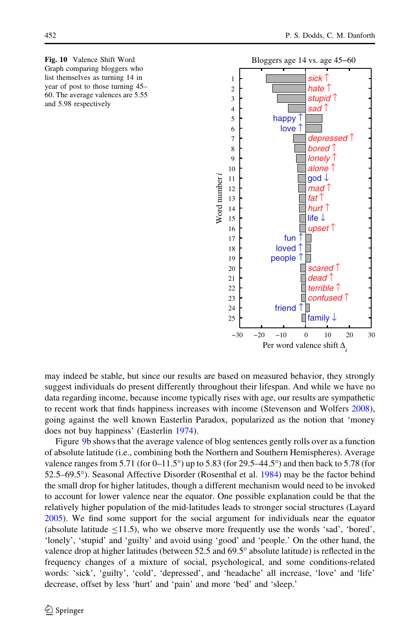<span id="page-12-0"></span>Fig. 10 Valence Shift Word Bloggers age 14 vs. age 45−60 Graph comparing bloggers who list themselves as turning 14 in year of post to those turning 45– 60. The average valences are 5.55 and 5.98 respectively



may indeed be stable, but since our results are based on measured behavior, they strongly suggest individuals do present differently throughout their lifespan. And while we have no data regarding income, because income typically rises with age, our results are sympathetic to recent work that finds happiness increases with income (Stevenson and Wolfers [2008](#page-16-0)), going against the well known Easterlin Paradox, popularized as the notion that 'money does not buy happiness' (Easterlin [1974\)](#page-15-0).

Figure [9b](#page-11-0) shows that the average valence of blog sentences gently rolls over as a function of absolute latitude (i.e., combining both the Northern and Southern Hemispheres). Average valence ranges from 5.71 (for  $0-11.5^\circ$ ) up to 5.83 (for 29.5–44.5°) and then back to 5.78 (for 52.5–69.5). Seasonal Affective Disorder (Rosenthal et al. [1984](#page-15-0)) may be the factor behind the small drop for higher latitudes, though a different mechanism would need to be invoked to account for lower valence near the equator. One possible explanation could be that the relatively higher population of the mid-latitudes leads to stronger social structures (Layard [2005\)](#page-15-0). We find some support for the social argument for individuals near the equator (absolute latitude  $\leq$ 11.5), who we observe more frequently use the words 'sad', 'bored', 'lonely', 'stupid' and 'guilty' and avoid using 'good' and 'people.' On the other hand, the valence drop at higher latitudes (between  $52.5$  and  $69.5^\circ$  absolute latitude) is reflected in the frequency changes of a mixture of social, psychological, and some conditions-related words: 'sick', 'guilty', 'cold', 'depressed', and 'headache' all increase, 'love' and 'life' decrease, offset by less 'hurt' and 'pain' and more 'bed' and 'sleep.'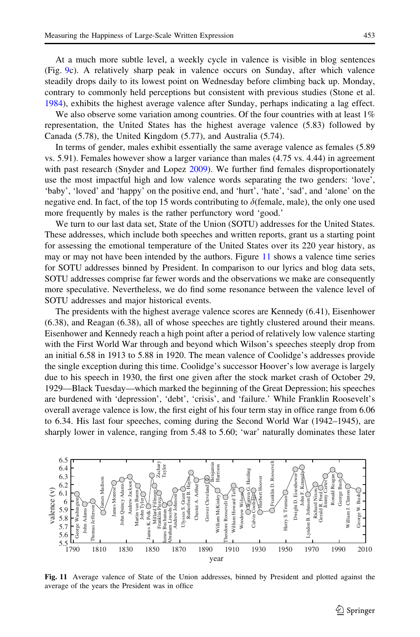At a much more subtle level, a weekly cycle in valence is visible in blog sentences (Fig. [9c](#page-11-0)). A relatively sharp peak in valence occurs on Sunday, after which valence steadily drops daily to its lowest point on Wednesday before climbing back up. Monday, contrary to commonly held perceptions but consistent with previous studies (Stone et al. [1984\)](#page-16-0), exhibits the highest average valence after Sunday, perhaps indicating a lag effect.

We also observe some variation among countries. Of the four countries with at least  $1\%$ representation, the United States has the highest average valence (5.83) followed by Canada (5.78), the United Kingdom (5.77), and Australia (5.74).

In terms of gender, males exhibit essentially the same average valence as females (5.89 vs. 5.91). Females however show a larger variance than males (4.75 vs. 4.44) in agreement with past research (Snyder and Lopez [2009](#page-16-0)). We further find females disproportionately use the most impactful high and low valence words separating the two genders: 'love', 'baby', 'loved' and 'happy' on the positive end, and 'hurt', 'hate', 'sad', and 'alone' on the negative end. In fact, of the top 15 words contributing to  $\delta$  (female, male), the only one used more frequently by males is the rather perfunctory word 'good.'

We turn to our last data set, State of the Union (SOTU) addresses for the United States. These addresses, which include both speeches and written reports, grant us a starting point for assessing the emotional temperature of the United States over its 220 year history, as may or may not have been intended by the authors. Figure 11 shows a valence time series for SOTU addresses binned by President. In comparison to our lyrics and blog data sets, SOTU addresses comprise far fewer words and the observations we make are consequently more speculative. Nevertheless, we do find some resonance between the valence level of SOTU addresses and major historical events.

The presidents with the highest average valence scores are Kennedy (6.41), Eisenhower (6.38), and Reagan (6.38), all of whose speeches are tightly clustered around their means. Eisenhower and Kennedy reach a high point after a period of relatively low valence starting with the First World War through and beyond which Wilson's speeches steeply drop from an initial 6.58 in 1913 to 5.88 in 1920. The mean valence of Coolidge's addresses provide the single exception during this time. Coolidge's successor Hoover's low average is largely due to his speech in 1930, the first one given after the stock market crash of October 29, 1929—Black Tuesday—which marked the beginning of the Great Depression; his speeches are burdened with 'depression', 'debt', 'crisis', and 'failure.' While Franklin Roosevelt's overall average valence is low, the first eight of his four term stay in office range from 6.06 to 6.34. His last four speeches, coming during the Second World War (1942–1945), are sharply lower in valence, ranging from 5.48 to 5.60; 'war' naturally dominates these later



Fig. 11 Average valence of State of the Union addresses, binned by President and plotted against the average of the years the President was in office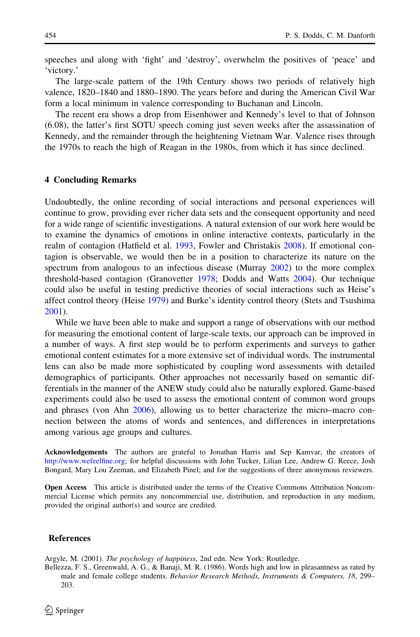<span id="page-14-0"></span>speeches and along with 'fight' and 'destroy', overwhelm the positives of 'peace' and 'victory.'

The large-scale pattern of the 19th Century shows two periods of relatively high valence, 1820–1840 and 1880–1890. The years before and during the American Civil War form a local minimum in valence corresponding to Buchanan and Lincoln.

The recent era shows a drop from Eisenhower and Kennedy's level to that of Johnson (6.08), the latter's first SOTU speech coming just seven weeks after the assassination of Kennedy, and the remainder through the heightening Vietnam War. Valence rises through the 1970s to reach the high of Reagan in the 1980s, from which it has since declined.

#### 4 Concluding Remarks

Undoubtedly, the online recording of social interactions and personal experiences will continue to grow, providing ever richer data sets and the consequent opportunity and need for a wide range of scientific investigations. A natural extension of our work here would be to examine the dynamics of emotions in online interactive contexts, particularly in the realm of contagion (Hatfield et al. [1993](#page-15-0), Fowler and Christakis [2008\)](#page-15-0). If emotional contagion is observable, we would then be in a position to characterize its nature on the spectrum from analogous to an infectious disease (Murray [2002](#page-15-0)) to the more complex threshold-based contagion (Granovetter [1978;](#page-15-0) Dodds and Watts [2004](#page-15-0)). Our technique could also be useful in testing predictive theories of social interactions such as Heise's affect control theory (Heise [1979](#page-15-0)) and Burke's identity control theory (Stets and Tsushima [2001\)](#page-16-0).

While we have been able to make and support a range of observations with our method for measuring the emotional content of large-scale texts, our approach can be improved in a number of ways. A first step would be to perform experiments and surveys to gather emotional content estimates for a more extensive set of individual words. The instrumental lens can also be made more sophisticated by coupling word assessments with detailed demographics of participants. Other approaches not necessarily based on semantic differentials in the manner of the ANEW study could also be naturally explored. Game-based experiments could also be used to assess the emotional content of common word groups and phrases (von Ahn [2006](#page-16-0)), allowing us to better characterize the micro–macro connection between the atoms of words and sentences, and differences in interpretations among various age groups and cultures.

Acknowledgements The authors are grateful to Jonathan Harris and Sep Kamvar, the creators of [http://www.wefeelfine.org;](http://www.wefeelfine.org) for helpful discussions with John Tucker, Lilian Lee, Andrew G. Reece, Josh Bongard, Mary Lou Zeeman, and Elizabeth Pinel; and for the suggestions of three anonymous reviewers.

Open Access This article is distributed under the terms of the Creative Commons Attribution Noncommercial License which permits any noncommercial use, distribution, and reproduction in any medium, provided the original author(s) and source are credited.

#### **References**

Argyle, M. (2001). The psychology of happiness, 2nd edn. New York: Routledge.

Bellezza, F. S., Greenwald, A. G., & Banaji, M. R. (1986). Words high and low in pleasantness as rated by male and female college students. Behavior Research Methods, Instruments & Computers, 18, 299– 203.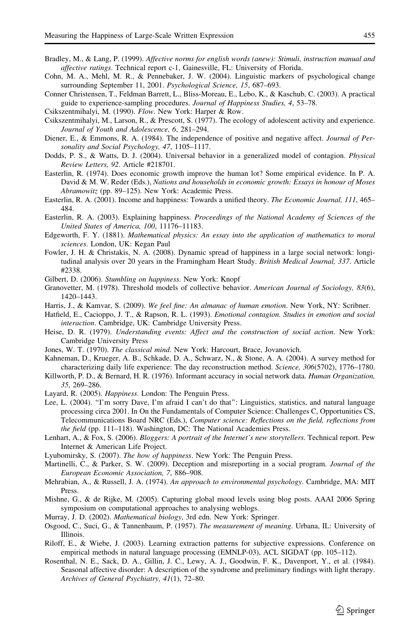- <span id="page-15-0"></span>Bradley, M., & Lang, P. (1999). Affective norms for english words (anew): Stimuli, instruction manual and affective ratings. Technical report c-1, Gainesville, FL: University of Florida.
- Cohn, M. A., Mehl, M. R., & Pennebaker, J. W. (2004). Linguistic markers of psychological change surrounding September 11, 2001. Psychological Science, 15, 687–693.
- Conner Christensen, T., Feldman Barrett, L., Bliss-Moreau, E., Lebo, K., & Kaschub, C. (2003). A practical guide to experience-sampling procedures. Journal of Happiness Studies, 4, 53–78.
- Csikszentmihalyi, M. (1990). Flow. New York: Harper & Row.
- Csikszentmihalyi, M., Larson, R., & Prescott, S. (1977). The ecology of adolescent activity and experience. Journal of Youth and Adolescence, 6, 281–294.
- Diener, E., & Emmons, R. A. (1984). The independence of positive and negative affect. Journal of Personality and Social Psychology, 47, 1105–1117.
- Dodds, P. S., & Watts, D. J. (2004). Universal behavior in a generalized model of contagion. Physical Review Letters, 92. Article #218701.
- Easterlin, R. (1974). Does economic growth improve the human lot? Some empirical evidence. In P. A. David & M. W. Reder (Eds.), Nations and households in economic growth: Essays in honour of Moses Abramowitz (pp. 89–125). New York: Academic Press.
- Easterlin, R. A. (2001). Income and happiness: Towards a unified theory. The Economic Journal, 111, 465– 484.
- Easterlin, R. A. (2003). Explaining happiness. Proceedings of the National Academy of Sciences of the United States of America, 100, 11176–11183.
- Edgeworth, F. Y. (1881). Mathematical physics: An essay into the application of mathematics to moral sciences. London, UK: Kegan Paul
- Fowler, J. H. & Christakis, N. A. (2008). Dynamic spread of happiness in a large social network: longitudinal analysis over 20 years in the Framingham Heart Study. British Medical Journal, 337. Article #2338.
- Gilbert, D. (2006). Stumbling on happiness. New York: Knopf
- Granovetter, M. (1978). Threshold models of collective behavior. American Journal of Sociology, 83(6), 1420–1443.
- Harris, J., & Kamvar, S. (2009). We feel fine: An almanac of human emotion. New York, NY: Scribner.
- Hatfield, E., Cacioppo, J. T., & Rapson, R. L. (1993). *Emotional contagion. Studies in emotion and social* interaction. Cambridge, UK: Cambridge University Press.
- Heise, D. R. (1979). Understanding events: Affect and the construction of social action. New York: Cambridge University Press
- Jones, W. T. (1970). The classical mind. New York: Harcourt, Brace, Jovanovich.
- Kahneman, D., Krueger, A. B., Schkade, D. A., Schwarz, N., & Stone, A. A. (2004). A survey method for characterizing daily life experience: The day reconstruction method. Science, 306(5702), 1776–1780.
- Killworth, P. D., & Bernard, H. R. (1976). Informant accuracy in social network data. *Human Organization*, 35, 269–286.
- Layard, R. (2005). Happiness. London: The Penguin Press.
- Lee, L. (2004). "I'm sorry Dave, I'm afraid I can't do that": Linguistics, statistics, and natural language processing circa 2001. In On the Fundamentals of Computer Science: Challenges C, Opportunities CS, Telecommunications Board NRC (Eds.), Computer science: Reflections on the field, reflections from the field (pp. 111–118). Washington, DC: The National Academies Press.
- Lenhart, A., & Fox, S. (2006). Bloggers: A portrait of the Internet's new storytellers. Technical report. Pew Internet & American Life Project.
- Lyubomirsky, S. (2007). The how of happiness. New York: The Penguin Press.
- Martinelli, C., & Parker, S. W. (2009). Deception and misreporting in a social program. Journal of the European Economic Association, 7, 886–908.
- Mehrabian, A., & Russell, J. A. (1974). An approach to environmental psychology. Cambridge, MA: MIT Press.
- Mishne, G., & de Rijke, M. (2005). Capturing global mood levels using blog posts. AAAI 2006 Spring symposium on computational approaches to analysing weblogs.
- Murray, J. D. (2002). Mathematical biology, 3rd edn. New York: Springer.
- Osgood, C., Suci, G., & Tannenbaum, P. (1957). The measurement of meaning. Urbana, IL: University of Illinois.
- Riloff, E., & Wiebe, J. (2003). Learning extraction patterns for subjective expressions. Conference on empirical methods in natural language processing (EMNLP-03), ACL SIGDAT (pp. 105–112).
- Rosenthal, N. E., Sack, D. A., Gillin, J. C., Lewy, A. J., Goodwin, F. K., Davenport, Y., et al. (1984). Seasonal affective disorder: A description of the syndrome and preliminary findings with light therapy. Archives of General Psychiatry, 41(1), 72–80.